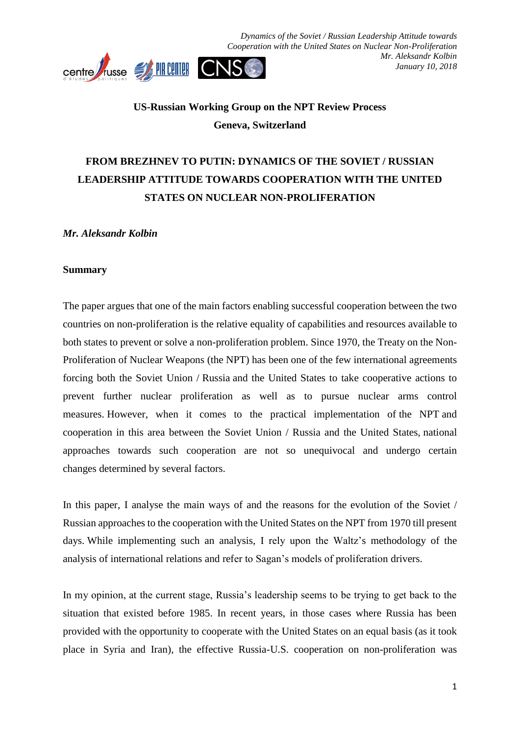

## **US-Russian Working Group on the NPT Review Process Geneva, Switzerland**

# **FROM BREZHNEV TO PUTIN: DYNAMICS OF THE SOVIET / RUSSIAN LEADERSHIP ATTITUDE TOWARDS COOPERATION WITH THE UNITED STATES ON NUCLEAR NON-PROLIFERATION**

*Mr. Aleksandr Kolbin*

#### **Summary**

The paper argues that one of the main factors enabling successful cooperation between the two countries on non-proliferation is the relative equality of capabilities and resources available to both states to prevent or solve a non-proliferation problem. Since 1970, the Treaty on the Non-Proliferation of Nuclear Weapons (the NPT) has been one of the few international agreements forcing both the Soviet Union / Russia and the United States to take cooperative actions to prevent further nuclear proliferation as well as to pursue nuclear arms control measures. However, when it comes to the practical implementation of the NPT and cooperation in this area between the Soviet Union / Russia and the United States, national approaches towards such cooperation are not so unequivocal and undergo certain changes determined by several factors.

In this paper, I analyse the main ways of and the reasons for the evolution of the Soviet / Russian approaches to the cooperation with the United States on the NPT from 1970 till present days. While implementing such an analysis, I rely upon the Waltz's methodology of the analysis of international relations and refer to Sagan's models of proliferation drivers.

In my opinion, at the current stage, Russia's leadership seems to be trying to get back to the situation that existed before 1985. In recent years, in those cases where Russia has been provided with the opportunity to cooperate with the United States on an equal basis (as it took place in Syria and Iran), the effective Russia-U.S. cooperation on non-proliferation was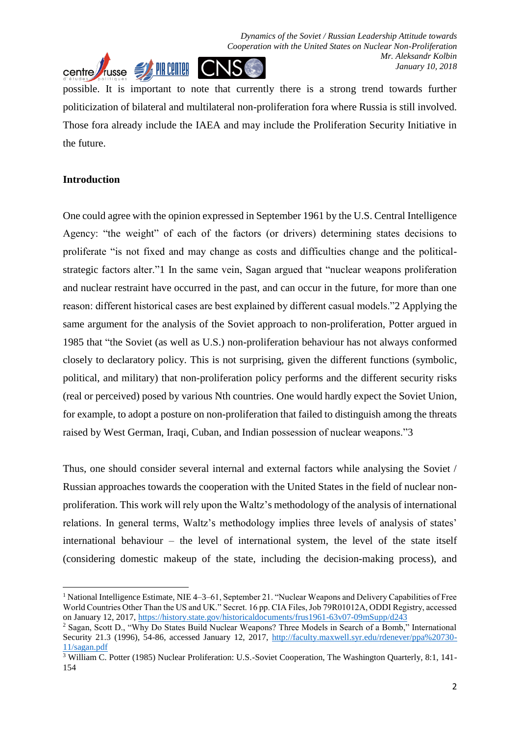

possible. It is important to note that currently there is a strong trend towards further politicization of bilateral and multilateral non-proliferation fora where Russia is still involved. Those fora already include the IAEA and may include the Proliferation Security Initiative in the future.

## **Introduction**

One could agree with the opinion expressed in September 1961 by the U.S. Central Intelligence Agency: "the weight" of each of the factors (or drivers) determining states decisions to proliferate "is not fixed and may change as costs and difficulties change and the politicalstrategic factors alter."1 In the same vein, Sagan argued that "nuclear weapons proliferation and nuclear restraint have occurred in the past, and can occur in the future, for more than one reason: different historical cases are best explained by different casual models."2 Applying the same argument for the analysis of the Soviet approach to non-proliferation, Potter argued in 1985 that "the Soviet (as well as U.S.) non-proliferation behaviour has not always conformed closely to declaratory policy. This is not surprising, given the different functions (symbolic, political, and military) that non-proliferation policy performs and the different security risks (real or perceived) posed by various Nth countries. One would hardly expect the Soviet Union, for example, to adopt a posture on non-proliferation that failed to distinguish among the threats raised by West German, Iraqi, Cuban, and Indian possession of nuclear weapons."3

Thus, one should consider several internal and external factors while analysing the Soviet / Russian approaches towards the cooperation with the United States in the field of nuclear nonproliferation. This work will rely upon the Waltz's methodology of the analysis of international relations. In general terms, Waltz's methodology implies three levels of analysis of states' international behaviour – the level of international system, the level of the state itself (considering domestic makeup of the state, including the decision-making process), and

<sup>1</sup> <sup>1</sup> National Intelligence Estimate, NIE 4–3–61, September 21. "Nuclear Weapons and Delivery Capabilities of Free World Countries Other Than the US and UK." Secret. 16 pp. CIA Files, Job 79R01012A, ODDI Registry, accessed on January 12, 2017,<https://history.state.gov/historicaldocuments/frus1961-63v07-09mSupp/d243>

<sup>&</sup>lt;sup>2</sup> Sagan, Scott D., "Why Do States Build Nuclear Weapons? Three Models in Search of a Bomb," International Security 21.3 (1996), 54-86, accessed January 12, 2017, [http://faculty.maxwell.syr.edu/rdenever/ppa%20730-](http://faculty.maxwell.syr.edu/rdenever/ppa%20730-11/sagan.pdf) [11/sagan.pdf](http://faculty.maxwell.syr.edu/rdenever/ppa%20730-11/sagan.pdf)

<sup>&</sup>lt;sup>3</sup> William C. Potter (1985) Nuclear Proliferation: U.S.-Soviet Cooperation, The Washington Quarterly, 8:1, 141-154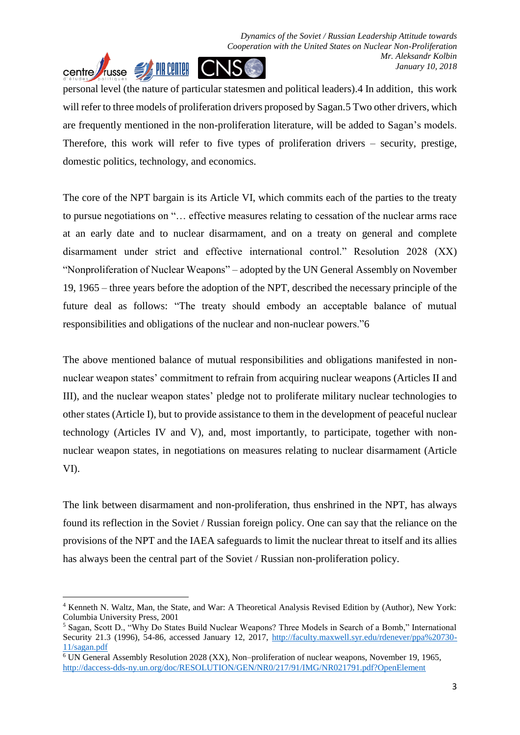personal level (the nature of particular statesmen and political leaders).4 In addition, this work will refer to three models of proliferation drivers proposed by Sagan.5 Two other drivers, which are frequently mentioned in the non-proliferation literature, will be added to Sagan's models. Therefore, this work will refer to five types of proliferation drivers – security, prestige, domestic politics, technology, and economics.

The core of the NPT bargain is its Article VI, which commits each of the parties to the treaty to pursue negotiations on "… effective measures relating to cessation of the nuclear arms race at an early date and to nuclear disarmament, and on a treaty on general and complete disarmament under strict and effective international control." Resolution 2028 (XX) "Nonproliferation of Nuclear Weapons" – adopted by the UN General Assembly on November 19, 1965 – three years before the adoption of the NPT, described the necessary principle of the future deal as follows: "The treaty should embody an acceptable balance of mutual responsibilities and obligations of the nuclear and non-nuclear powers."6

The above mentioned balance of mutual responsibilities and obligations manifested in nonnuclear weapon states' commitment to refrain from acquiring nuclear weapons (Articles II and III), and the nuclear weapon states' pledge not to proliferate military nuclear technologies to other states (Article I), but to provide assistance to them in the development of peaceful nuclear technology (Articles IV and V), and, most importantly, to participate, together with nonnuclear weapon states, in negotiations on measures relating to nuclear disarmament (Article VI).

The link between disarmament and non-proliferation, thus enshrined in the NPT, has always found its reflection in the Soviet / Russian foreign policy. One can say that the reliance on the provisions of the NPT and the IAEA safeguards to limit the nuclear threat to itself and its allies has always been the central part of the Soviet / Russian non-proliferation policy.

<sup>4</sup> Kenneth N. Waltz, Man, the State, and War: A Theoretical Analysis Revised Edition by (Author), New York: Columbia University Press, 2001

<sup>5</sup> Sagan, Scott D., "Why Do States Build Nuclear Weapons? Three Models in Search of a Bomb," International Security 21.3 (1996), 54-86, accessed January 12, 2017, [http://faculty.maxwell.syr.edu/rdenever/ppa%20730-](http://faculty.maxwell.syr.edu/rdenever/ppa%20730-11/sagan.pdf) [11/sagan.pdf](http://faculty.maxwell.syr.edu/rdenever/ppa%20730-11/sagan.pdf)

<sup>6</sup> UN General Assembly Resolution 2028 (XX), Non–proliferation of nuclear weapons, November 19, 1965, <http://daccess-dds-ny.un.org/doc/RESOLUTION/GEN/NR0/217/91/IMG/NR021791.pdf?OpenElement>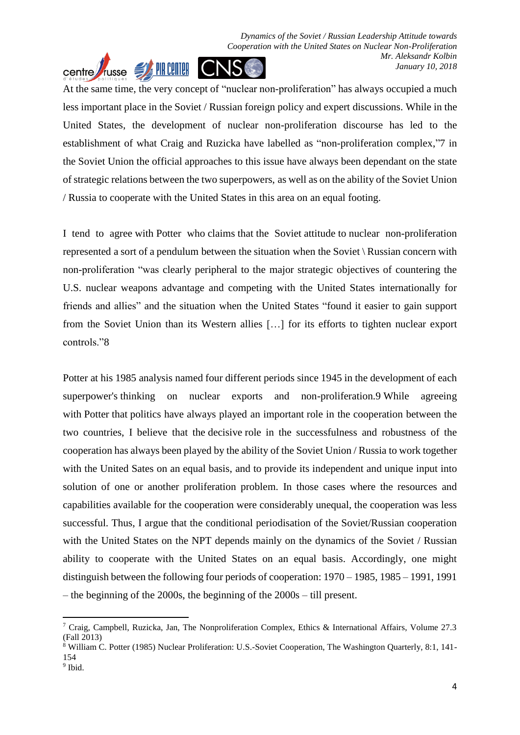At the same time, the very concept of "nuclear non-proliferation" has always occupied a much less important place in the Soviet / Russian foreign policy and expert discussions. While in the United States, the development of nuclear non-proliferation discourse has led to the establishment of what Craig and Ruzicka have labelled as "non-proliferation complex,"7 in the Soviet Union the official approaches to this issue have always been dependant on the state of strategic relations between the two superpowers, as well as on the ability of the Soviet Union / Russia to cooperate with the United States in this area on an equal footing.

centre *T*russe SA PIR CENTER

I tend to agree with Potter who claims that the Soviet attitude to nuclear non-proliferation represented a sort of a pendulum between the situation when the Soviet \ Russian concern with non-proliferation "was clearly peripheral to the major strategic objectives of countering the U.S. nuclear weapons advantage and competing with the United States internationally for friends and allies" and the situation when the United States "found it easier to gain support from the Soviet Union than its Western allies […] for its efforts to tighten nuclear export controls."8

Potter at his 1985 analysis named four different periods since 1945 in the development of each superpower's thinking on nuclear exports and non-proliferation.9 While agreeing with Potter that politics have always played an important role in the cooperation between the two countries, I believe that the decisive role in the successfulness and robustness of the cooperation has always been played by the ability of the Soviet Union / Russia to work together with the United Sates on an equal basis, and to provide its independent and unique input into solution of one or another proliferation problem. In those cases where the resources and capabilities available for the cooperation were considerably unequal, the cooperation was less successful. Thus, I argue that the conditional periodisation of the Soviet/Russian cooperation with the United States on the NPT depends mainly on the dynamics of the Soviet / Russian ability to cooperate with the United States on an equal basis. Accordingly, one might distinguish between the following four periods of cooperation: 1970 – 1985, 1985 – 1991, 1991 – the beginning of the 2000s, the beginning of the 2000s – till present.

<sup>&</sup>lt;sup>7</sup> Craig, Campbell, Ruzicka, Jan, The Nonproliferation Complex, Ethics & International Affairs, Volume 27.3 (Fall 2013)

<sup>8</sup> William C. Potter (1985) Nuclear Proliferation: U.S.-Soviet Cooperation, The Washington Quarterly, 8:1, 141- 154

<sup>&</sup>lt;sup>9</sup> Ibid.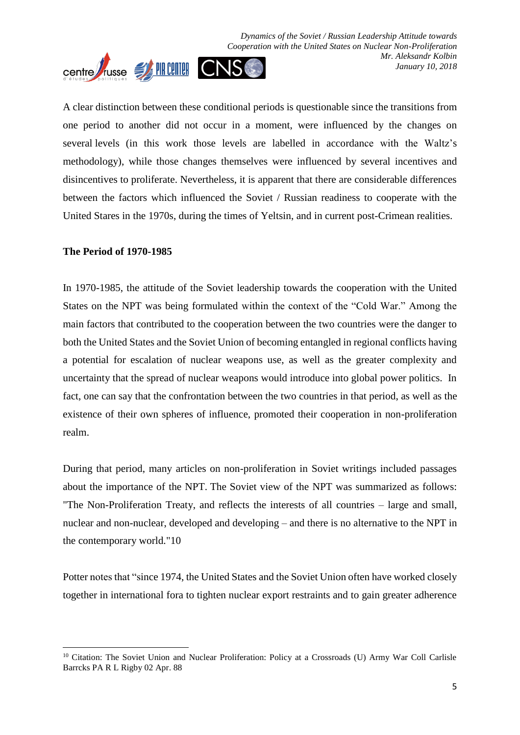

A clear distinction between these conditional periods is questionable since the transitions from one period to another did not occur in a moment, were influenced by the changes on several levels (in this work those levels are labelled in accordance with the Waltz's methodology), while those changes themselves were influenced by several incentives and disincentives to proliferate. Nevertheless, it is apparent that there are considerable differences between the factors which influenced the Soviet / Russian readiness to cooperate with the United Stares in the 1970s, during the times of Yeltsin, and in current post-Crimean realities.

#### **The Period of 1970-1985**

1

In 1970-1985, the attitude of the Soviet leadership towards the cooperation with the United States on the NPT was being formulated within the context of the "Cold War." Among the main factors that contributed to the cooperation between the two countries were the danger to both the United States and the Soviet Union of becoming entangled in regional conflicts having a potential for escalation of nuclear weapons use, as well as the greater complexity and uncertainty that the spread of nuclear weapons would introduce into global power politics. In fact, one can say that the confrontation between the two countries in that period, as well as the existence of their own spheres of influence, promoted their cooperation in non-proliferation realm.

During that period, many articles on non-proliferation in Soviet writings included passages about the importance of the NPT. The Soviet view of the NPT was summarized as follows: "The Non-Proliferation Treaty, and reflects the interests of all countries – large and small, nuclear and non-nuclear, developed and developing – and there is no alternative to the NPT in the contemporary world."10

Potter notes that "since 1974, the United States and the Soviet Union often have worked closely together in international fora to tighten nuclear export restraints and to gain greater adherence

<sup>&</sup>lt;sup>10</sup> Citation: The Soviet Union and Nuclear Proliferation: Policy at a Crossroads (U) Army War Coll Carlisle Barrcks PA R L Rigby 02 Apr. 88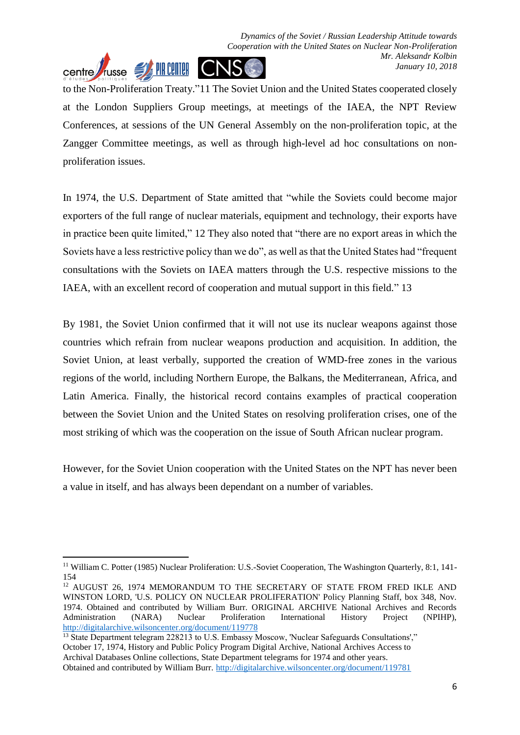to the Non-Proliferation Treaty."11 The Soviet Union and the United States cooperated closely at the London Suppliers Group meetings, at meetings of the IAEA, the NPT Review Conferences, at sessions of the UN General Assembly on the non-proliferation topic, at the Zangger Committee meetings, as well as through high-level ad hoc consultations on nonproliferation issues.

In 1974, the U.S. Department of State amitted that "while the Soviets could become major exporters of the full range of nuclear materials, equipment and technology, their exports have in practice been quite limited," 12 They also noted that "there are no export areas in which the Soviets have a less restrictive policy than we do", as well as that the United States had "frequent consultations with the Soviets on IAEA matters through the U.S. respective missions to the IAEA, with an excellent record of cooperation and mutual support in this field." 13

By 1981, the Soviet Union confirmed that it will not use its nuclear weapons against those countries which refrain from nuclear weapons production and acquisition. In addition, the Soviet Union, at least verbally, supported the creation of WMD-free zones in the various regions of the world, including Northern Europe, the Balkans, the Mediterranean, Africa, and Latin America. Finally, the historical record contains examples of practical cooperation between the Soviet Union and the United States on resolving proliferation crises, one of the most striking of which was the cooperation on the issue of South African nuclear program.

However, for the Soviet Union cooperation with the United States on the NPT has never been a value in itself, and has always been dependant on a number of variables.

<sup>&</sup>lt;sup>11</sup> William C. Potter (1985) Nuclear Proliferation: U.S.-Soviet Cooperation, The Washington Quarterly, 8:1, 141-154

<sup>&</sup>lt;sup>12</sup> AUGUST 26, 1974 MEMORANDUM TO THE SECRETARY OF STATE FROM FRED IKLE AND WINSTON LORD, 'U.S. POLICY ON NUCLEAR PROLIFERATION' Policy Planning Staff, box 348, Nov. 1974. Obtained and contributed by William Burr. ORIGINAL ARCHIVE National Archives and Records Administration (NARA) Nuclear Proliferation International History Project (NPIHP), <http://digitalarchive.wilsoncenter.org/document/119778>

<sup>&</sup>lt;sup>13</sup> State Department telegram 228213 to U.S. Embassy Moscow, 'Nuclear Safeguards Consultations'," October 17, 1974, History and Public Policy Program Digital Archive, National Archives Access to Archival Databases Online collections, State Department telegrams for 1974 and other years. Obtained and contributed by William Burr.<http://digitalarchive.wilsoncenter.org/document/119781>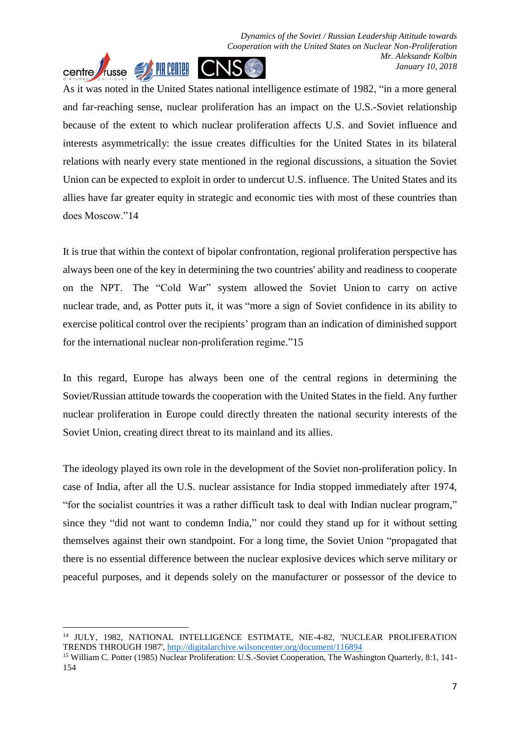*Dynamics of the Soviet / Russian Leadership Attitude towards Cooperation with the United States on Nuclear Non-Proliferation Mr. Aleksandr Kolbin* **Centre** Trusse SA PIR CRIME CNS *January 10, 2018*

As it was noted in the United States national intelligence estimate of 1982, "in a more general and far-reaching sense, nuclear proliferation has an impact on the U.S.-Soviet relationship because of the extent to which nuclear proliferation affects U.S. and Soviet influence and interests asymmetrically: the issue creates difficulties for the United States in its bilateral relations with nearly every state mentioned in the regional discussions, a situation the Soviet Union can be expected to exploit in order to undercut U.S. influence. The United States and its allies have far greater equity in strategic and economic ties with most of these countries than does Moscow."14

It is true that within the context of bipolar confrontation, regional proliferation perspective has always been one of the key in determining the two countries' ability and readiness to cooperate on the NPT. The "Cold War" system allowed the Soviet Union to carry on active nuclear trade, and, as Potter puts it, it was "more a sign of Soviet confidence in its ability to exercise political control over the recipients' program than an indication of diminished support for the international nuclear non-proliferation regime."15

In this regard, Europe has always been one of the central regions in determining the Soviet/Russian attitude towards the cooperation with the United States in the field. Any further nuclear proliferation in Europe could directly threaten the national security interests of the Soviet Union, creating direct threat to its mainland and its allies.

The ideology played its own role in the development of the Soviet non-proliferation policy. In case of India, after all the U.S. nuclear assistance for India stopped immediately after 1974, "for the socialist countries it was a rather difficult task to deal with Indian nuclear program," since they "did not want to condemn India," nor could they stand up for it without setting themselves against their own standpoint. For a long time, the Soviet Union "propagated that there is no essential difference between the nuclear explosive devices which serve military or peaceful purposes, and it depends solely on the manufacturer or possessor of the device to

<sup>14</sup> JULY, 1982, NATIONAL INTELLIGENCE ESTIMATE, NIE-4-82, 'NUCLEAR PROLIFERATION TRENDS THROUGH 1987'[, http://digitalarchive.wilsoncenter.org/document/116894](http://digitalarchive.wilsoncenter.org/document/116894)

<sup>15</sup> William C. Potter (1985) Nuclear Proliferation: U.S.-Soviet Cooperation, The Washington Quarterly, 8:1, 141- 154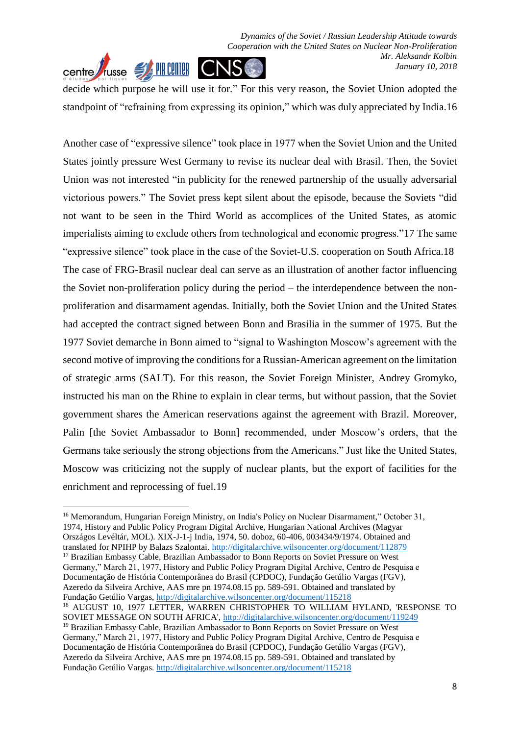

**.** 

decide which purpose he will use it for." For this very reason, the Soviet Union adopted the standpoint of "refraining from expressing its opinion," which was duly appreciated by India.16

Another case of "expressive silence" took place in 1977 when the Soviet Union and the United States jointly pressure West Germany to revise its nuclear deal with Brasil. Then, the Soviet Union was not interested "in publicity for the renewed partnership of the usually adversarial victorious powers." The Soviet press kept silent about the episode, because the Soviets "did not want to be seen in the Third World as accomplices of the United States, as atomic imperialists aiming to exclude others from technological and economic progress."17 The same "expressive silence" took place in the case of the Soviet-U.S. cooperation on South Africa.18 The case of FRG-Brasil nuclear deal can serve as an illustration of another factor influencing the Soviet non-proliferation policy during the period – the interdependence between the nonproliferation and disarmament agendas. Initially, both the Soviet Union and the United States had accepted the contract signed between Bonn and Brasilia in the summer of 1975. But the 1977 Soviet demarche in Bonn aimed to "signal to Washington Moscow's agreement with the second motive of improving the conditions for a Russian-American agreement on the limitation of strategic arms (SALT). For this reason, the Soviet Foreign Minister, Andrey Gromyko, instructed his man on the Rhine to explain in clear terms, but without passion, that the Soviet government shares the American reservations against the agreement with Brazil. Moreover, Palin [the Soviet Ambassador to Bonn] recommended, under Moscow's orders, that the Germans take seriously the strong objections from the Americans." Just like the United States, Moscow was criticizing not the supply of nuclear plants, but the export of facilities for the enrichment and reprocessing of fuel.19

<sup>16</sup> Memorandum, Hungarian Foreign Ministry, on India's Policy on Nuclear Disarmament," October 31, 1974, History and Public Policy Program Digital Archive, Hungarian National Archives (Magyar Országos Levéltár, MOL). XIX-J-1-j India, 1974, 50. doboz, 60-406, 003434/9/1974. Obtained and translated for NPIHP by Balazs Szalontai.<http://digitalarchive.wilsoncenter.org/document/112879> <sup>17</sup> Brazilian Embassy Cable, Brazilian Ambassador to Bonn Reports on Soviet Pressure on West Germany," March 21, 1977, History and Public Policy Program Digital Archive, Centro de Pesquisa e Documentação de História Contemporânea do Brasil (CPDOC), Fundação Getúlio Vargas (FGV), Azeredo da Silveira Archive, AAS mre pn 1974.08.15 pp. 589-591. Obtained and translated by Fundação Getúlio Vargas,<http://digitalarchive.wilsoncenter.org/document/115218> <sup>18</sup> AUGUST 10, 1977 LETTER, WARREN CHRISTOPHER TO WILLIAM HYLAND, 'RESPONSE TO SOVIET MESSAGE ON SOUTH AFRICA',<http://digitalarchive.wilsoncenter.org/document/119249> <sup>19</sup> Brazilian Embassy Cable, Brazilian Ambassador to Bonn Reports on Soviet Pressure on West Germany," March 21, 1977, History and Public Policy Program Digital Archive, Centro de Pesquisa e Documentação de História Contemporânea do Brasil (CPDOC), Fundação Getúlio Vargas (FGV), Azeredo da Silveira Archive, AAS mre pn 1974.08.15 pp. 589-591. Obtained and translated by Fundação Getúlio Vargas.<http://digitalarchive.wilsoncenter.org/document/115218>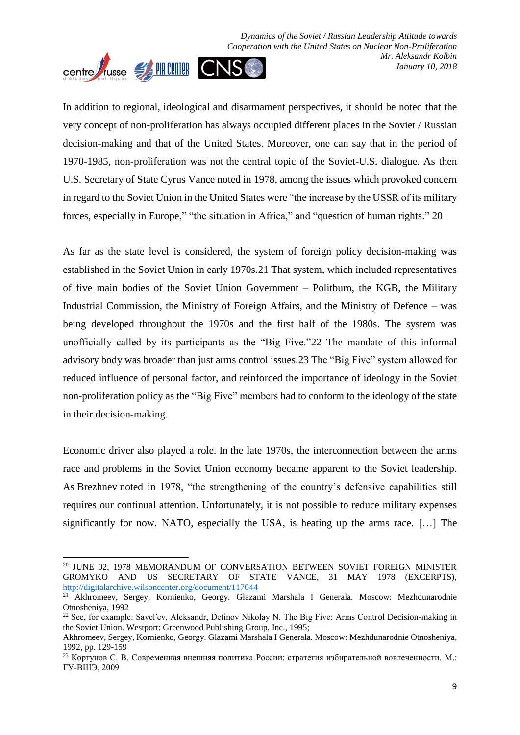*Dynamics of the Soviet / Russian Leadership Attitude towards Cooperation with the United States on Nuclear Non-Proliferation Mr. Aleksandr Kolbin January 10, 2018*



1

In addition to regional, ideological and disarmament perspectives, it should be noted that the very concept of non-proliferation has always occupied different places in the Soviet / Russian decision-making and that of the United States. Moreover, one can say that in the period of 1970-1985, non-proliferation was not the central topic of the Soviet-U.S. dialogue. As then U.S. Secretary of State Cyrus Vance noted in 1978, among the issues which provoked concern in regard to the Soviet Union in the United States were "the increase by the USSR of its military forces, especially in Europe," "the situation in Africa," and "question of human rights." 20

As far as the state level is considered, the system of foreign policy decision-making was established in the Soviet Union in early 1970s.21 That system, which included representatives of five main bodies of the Soviet Union Government – Politburo, the KGB, the Military Industrial Commission, the Ministry of Foreign Affairs, and the Ministry of Defence – was being developed throughout the 1970s and the first half of the 1980s. The system was unofficially called by its participants as the "Big Five."22 The mandate of this informal advisory body was broader than just arms control issues.23 The "Big Five" system allowed for reduced influence of personal factor, and reinforced the importance of ideology in the Soviet non-proliferation policy as the "Big Five" members had to conform to the ideology of the state in their decision-making.

Economic driver also played a role. In the late 1970s, the interconnection between the arms race and problems in the Soviet Union economy became apparent to the Soviet leadership. As Brezhnev noted in 1978, "the strengthening of the country's defensive capabilities still requires our continual attention. Unfortunately, it is not possible to reduce military expenses significantly for now. NATO, especially the USA, is heating up the arms race. […] The

<sup>&</sup>lt;sup>20</sup> JUNE 02, 1978 MEMORANDUM OF CONVERSATION BETWEEN SOVIET FOREIGN MINISTER GROMYKO AND US SECRETARY OF STATE VANCE, 31 MAY 1978 (EXCERPTS), <http://digitalarchive.wilsoncenter.org/document/117044>

<sup>&</sup>lt;sup>21</sup> Akhromeev, Sergey, Kornienko, Georgy. Glazami Marshala I Generala. Moscow: Mezhdunarodnie Otnosheniya, 1992

<sup>&</sup>lt;sup>22</sup> See, for example: Savel'ev, Aleksandr, Detinov Nikolay N. The Big Five: Arms Control Decision-making in the Soviet Union. Westport: Greenwood Publishing Group, Inc., 1995;

Akhromeev, Sergey, Kornienko, Georgy. Glazami Marshala I Generala. Moscow: Mezhdunarodnie Otnosheniya, 1992, pp. 129-159

<sup>23</sup> Кортунов С. В. Современная внешняя политика России: стратегия избирательной вовлеченности. М.: ГУ-ВШЭ, 2009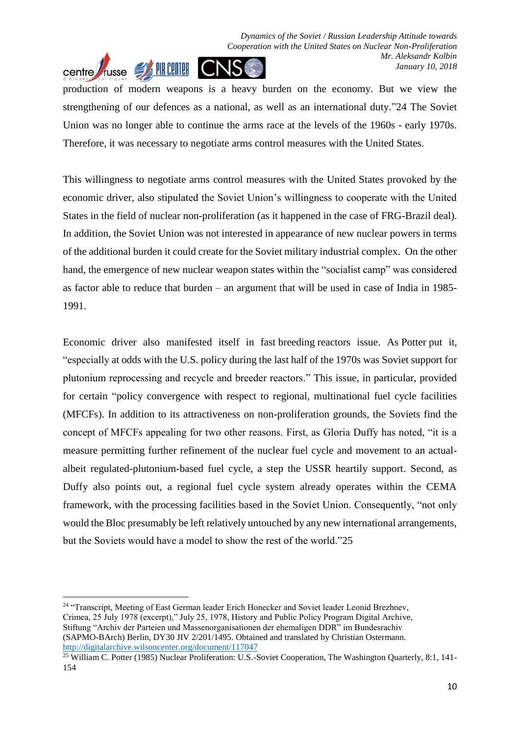

production of modern weapons is a heavy burden on the economy. But we view the strengthening of our defences as a national, as well as an international duty."24 The Soviet Union was no longer able to continue the arms race at the levels of the 1960s - early 1970s. Therefore, it was necessary to negotiate arms control measures with the United States.

This willingness to negotiate arms control measures with the United States provoked by the economic driver, also stipulated the Soviet Union's willingness to cooperate with the United States in the field of nuclear non-proliferation (as it happened in the case of FRG-Brazil deal). In addition, the Soviet Union was not interested in appearance of new nuclear powers in terms of the additional burden it could create for the Soviet military industrial complex. On the other hand, the emergence of new nuclear weapon states within the "socialist camp" was considered as factor able to reduce that burden – an argument that will be used in case of India in 1985- 1991.

Economic driver also manifested itself in fast breeding reactors issue. As Potter put it, "especially at odds with the U.S. policy during the last half of the 1970s was Soviet support for plutonium reprocessing and recycle and breeder reactors." This issue, in particular, provided for certain "policy convergence with respect to regional, multinational fuel cycle facilities (MFCFs). In addition to its attractiveness on non-proliferation grounds, the Soviets find the concept of MFCFs appealing for two other reasons. First, as Gloria Duffy has noted, "it is a measure permitting further refinement of the nuclear fuel cycle and movement to an actualalbeit regulated-plutonium-based fuel cycle, a step the USSR heartily support. Second, as Duffy also points out, a regional fuel cycle system already operates within the CEMA framework, with the processing facilities based in the Soviet Union. Consequently, "not only would the Bloc presumably be left relatively untouched by any new international arrangements, but the Soviets would have a model to show the rest of the world."25

**.** <sup>24</sup> "Transcript, Meeting of East German leader Erich Honecker and Soviet leader Leonid Brezhnev, Crimea, 25 July 1978 (excerpt)," July 25, 1978, History and Public Policy Program Digital Archive, Stiftung "Archiv der Parteien und Massenorganisationen der ehemaligen DDR" im Bundesrachiv (SAPMO-BArch) Berlin, DY30 JIV 2/201/1495. Obtained and translated by Christian Ostermann. <http://digitalarchive.wilsoncenter.org/document/117047>

<sup>&</sup>lt;sup>25</sup> William C. Potter (1985) Nuclear Proliferation: U.S.-Soviet Cooperation, The Washington Quarterly, 8:1, 141-154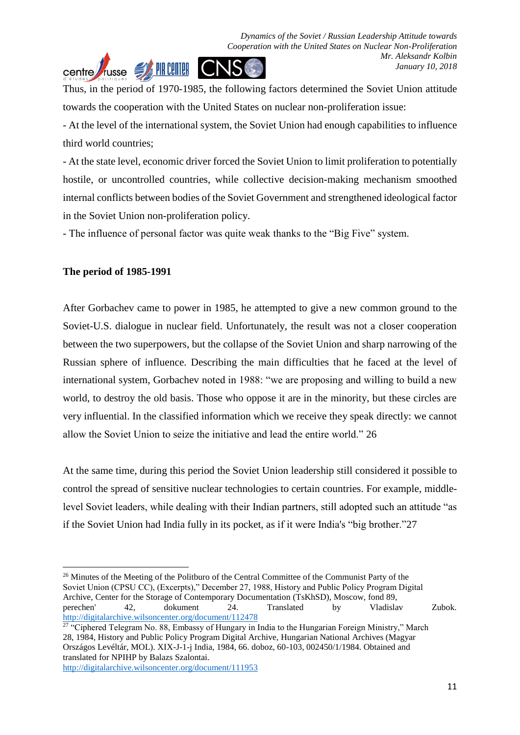

Thus, in the period of 1970-1985, the following factors determined the Soviet Union attitude towards the cooperation with the United States on nuclear non-proliferation issue:

- At the level of the international system, the Soviet Union had enough capabilities to influence third world countries;

- At the state level, economic driver forced the Soviet Union to limit proliferation to potentially hostile, or uncontrolled countries, while collective decision-making mechanism smoothed internal conflicts between bodies of the Soviet Government and strengthened ideological factor in the Soviet Union non-proliferation policy.

- The influence of personal factor was quite weak thanks to the "Big Five" system.

#### **The period of 1985-1991**

After Gorbachev came to power in 1985, he attempted to give a new common ground to the Soviet-U.S. dialogue in nuclear field. Unfortunately, the result was not a closer cooperation between the two superpowers, but the collapse of the Soviet Union and sharp narrowing of the Russian sphere of influence. Describing the main difficulties that he faced at the level of international system, Gorbachev noted in 1988: "we are proposing and willing to build a new world, to destroy the old basis. Those who oppose it are in the minority, but these circles are very influential. In the classified information which we receive they speak directly: we cannot allow the Soviet Union to seize the initiative and lead the entire world." 26

At the same time, during this period the Soviet Union leadership still considered it possible to control the spread of sensitive nuclear technologies to certain countries. For example, middlelevel Soviet leaders, while dealing with their Indian partners, still adopted such an attitude "as if the Soviet Union had India fully in its pocket, as if it were India's "big brother."27

<http://digitalarchive.wilsoncenter.org/document/111953>

**<sup>.</sup>** <sup>26</sup> Minutes of the Meeting of the Politburo of the Central Committee of the Communist Party of the Soviet Union (CPSU CC), (Excerpts)," December 27, 1988, History and Public Policy Program Digital Archive, Center for the Storage of Contemporary Documentation (TsKhSD), Moscow, fond 89, perechen' 42, dokument 24. Translated by Vladislav Zubok. <http://digitalarchive.wilsoncenter.org/document/112478>

<sup>&</sup>lt;sup>27</sup> "Ciphered Telegram No. 88, Embassy of Hungary in India to the Hungarian Foreign Ministry," March 28, 1984, History and Public Policy Program Digital Archive, Hungarian National Archives (Magyar Országos Levéltár, MOL). XIX-J-1-j India, 1984, 66. doboz, 60-103, 002450/1/1984. Obtained and translated for NPIHP by Balazs Szalontai.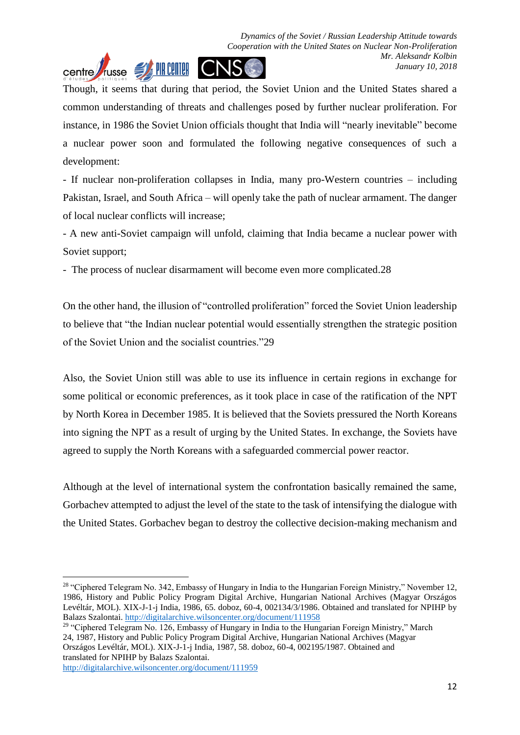

Though, it seems that during that period, the Soviet Union and the United States shared a common understanding of threats and challenges posed by further nuclear proliferation. For instance, in 1986 the Soviet Union officials thought that India will "nearly inevitable" become a nuclear power soon and formulated the following negative consequences of such a development:

- If nuclear non-proliferation collapses in India, many pro-Western countries – including Pakistan, Israel, and South Africa – will openly take the path of nuclear armament. The danger of local nuclear conflicts will increase;

- A new anti-Soviet campaign will unfold, claiming that India became a nuclear power with Soviet support;

- The process of nuclear disarmament will become even more complicated.28

On the other hand, the illusion of "controlled proliferation" forced the Soviet Union leadership to believe that "the Indian nuclear potential would essentially strengthen the strategic position of the Soviet Union and the socialist countries."29

Also, the Soviet Union still was able to use its influence in certain regions in exchange for some political or economic preferences, as it took place in case of the ratification of the NPT by North Korea in December 1985. It is believed that the Soviets pressured the North Koreans into signing the NPT as a result of urging by the United States. In exchange, the Soviets have agreed to supply the North Koreans with a safeguarded commercial power reactor.

Although at the level of international system the confrontation basically remained the same, Gorbachev attempted to adjust the level of the state to the task of intensifying the dialogue with the United States. Gorbachev began to destroy the collective decision-making mechanism and

<http://digitalarchive.wilsoncenter.org/document/111959>

 $\overline{a}$ 

<sup>&</sup>lt;sup>28</sup> "Ciphered Telegram No. 342, Embassy of Hungary in India to the Hungarian Foreign Ministry," November 12, 1986, History and Public Policy Program Digital Archive, Hungarian National Archives (Magyar Országos Levéltár, MOL). XIX-J-1-j India, 1986, 65. doboz, 60-4, 002134/3/1986. Obtained and translated for NPIHP by Balazs Szalontai.<http://digitalarchive.wilsoncenter.org/document/111958>

<sup>&</sup>lt;sup>29</sup> "Ciphered Telegram No. 126, Embassy of Hungary in India to the Hungarian Foreign Ministry," March 24, 1987, History and Public Policy Program Digital Archive, Hungarian National Archives (Magyar Országos Levéltár, MOL). XIX-J-1-j India, 1987, 58. doboz, 60-4, 002195/1987. Obtained and translated for NPIHP by Balazs Szalontai.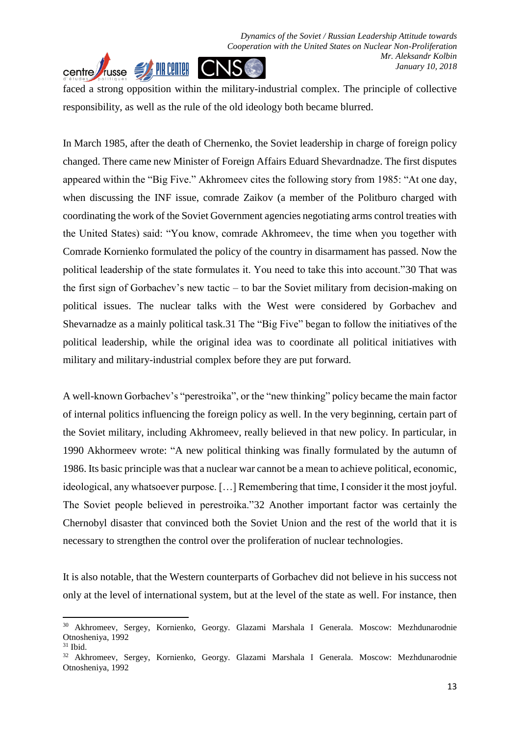

faced a strong opposition within the military-industrial complex. The principle of collective responsibility, as well as the rule of the old ideology both became blurred.

In March 1985, after the death of Chernenko, the Soviet leadership in charge of foreign policy changed. There came new Minister of Foreign Affairs Eduard Shevardnadze. The first disputes appeared within the "Big Five." Akhromeev cites the following story from 1985: "At one day, when discussing the INF issue, comrade Zaikov (a member of the Politburo charged with coordinating the work of the Soviet Government agencies negotiating arms control treaties with the United States) said: "You know, comrade Akhromeev, the time when you together with Comrade Kornienko formulated the policy of the country in disarmament has passed. Now the political leadership of the state formulates it. You need to take this into account."30 That was the first sign of Gorbachev's new tactic – to bar the Soviet military from decision-making on political issues. The nuclear talks with the West were considered by Gorbachev and Shevarnadze as a mainly political task.31 The "Big Five" began to follow the initiatives of the political leadership, while the original idea was to coordinate all political initiatives with military and military-industrial complex before they are put forward.

A well-known Gorbachev's "perestroika", or the "new thinking" policy became the main factor of internal politics influencing the foreign policy as well. In the very beginning, certain part of the Soviet military, including Akhromeev, really believed in that new policy. In particular, in 1990 Akhormeev wrote: "A new political thinking was finally formulated by the autumn of 1986. Its basic principle was that a nuclear war cannot be a mean to achieve political, economic, ideological, any whatsoever purpose. […] Remembering that time, I consider it the most joyful. The Soviet people believed in perestroika."32 Another important factor was certainly the Chernobyl disaster that convinced both the Soviet Union and the rest of the world that it is necessary to strengthen the control over the proliferation of nuclear technologies.

It is also notable, that the Western counterparts of Gorbachev did not believe in his success not only at the level of international system, but at the level of the state as well. For instance, then

<sup>30</sup> Akhromeev, Sergey, Kornienko, Georgy. Glazami Marshala I Generala. Moscow: Mezhdunarodnie Otnosheniya, 1992

 $31$  Ibid.

<sup>32</sup> Akhromeev, Sergey, Kornienko, Georgy. Glazami Marshala I Generala. Moscow: Mezhdunarodnie Otnosheniya, 1992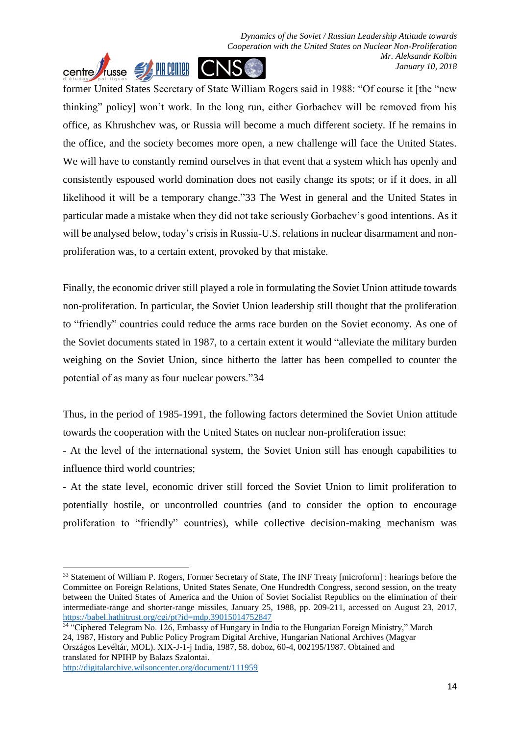*Dynamics of the Soviet / Russian Leadership Attitude towards Cooperation with the United States on Nuclear Non-Proliferation Mr. Aleksandr Kolbin January 10, 2018*



former United States Secretary of State William Rogers said in 1988: "Of course it [the "new thinking" policy] won't work. In the long run, either Gorbachev will be removed from his office, as Khrushchev was, or Russia will become a much different society. If he remains in the office, and the society becomes more open, a new challenge will face the United States. We will have to constantly remind ourselves in that event that a system which has openly and consistently espoused world domination does not easily change its spots; or if it does, in all likelihood it will be a temporary change."33 The West in general and the United States in particular made a mistake when they did not take seriously Gorbachev's good intentions. As it will be analysed below, today's crisis in Russia-U.S. relations in nuclear disarmament and nonproliferation was, to a certain extent, provoked by that mistake.

Finally, the economic driver still played a role in formulating the Soviet Union attitude towards non-proliferation. In particular, the Soviet Union leadership still thought that the proliferation to "friendly" countries could reduce the arms race burden on the Soviet economy. As one of the Soviet documents stated in 1987, to a certain extent it would "alleviate the military burden weighing on the Soviet Union, since hitherto the latter has been compelled to counter the potential of as many as four nuclear powers."34

Thus, in the period of 1985-1991, the following factors determined the Soviet Union attitude towards the cooperation with the United States on nuclear non-proliferation issue:

- At the level of the international system, the Soviet Union still has enough capabilities to influence third world countries;

- At the state level, economic driver still forced the Soviet Union to limit proliferation to potentially hostile, or uncontrolled countries (and to consider the option to encourage proliferation to "friendly" countries), while collective decision-making mechanism was

<sup>&</sup>lt;sup>33</sup> Statement of William P. Rogers, Former Secretary of State, The INF Treaty [microform] : hearings before the Committee on Foreign Relations, United States Senate, One Hundredth Congress, second session, on the treaty between the United States of America and the Union of Soviet Socialist Republics on the elimination of their intermediate-range and shorter-range missiles, January 25, 1988, pp. 209-211, accessed on August 23, 2017, <https://babel.hathitrust.org/cgi/pt?id=mdp.39015014752847>

<sup>&</sup>lt;sup>34 "</sup>Ciphered Telegram No. 126, Embassy of Hungary in India to the Hungarian Foreign Ministry," March 24, 1987, History and Public Policy Program Digital Archive, Hungarian National Archives (Magyar Országos Levéltár, MOL). XIX-J-1-j India, 1987, 58. doboz, 60-4, 002195/1987. Obtained and translated for NPIHP by Balazs Szalontai.

<http://digitalarchive.wilsoncenter.org/document/111959>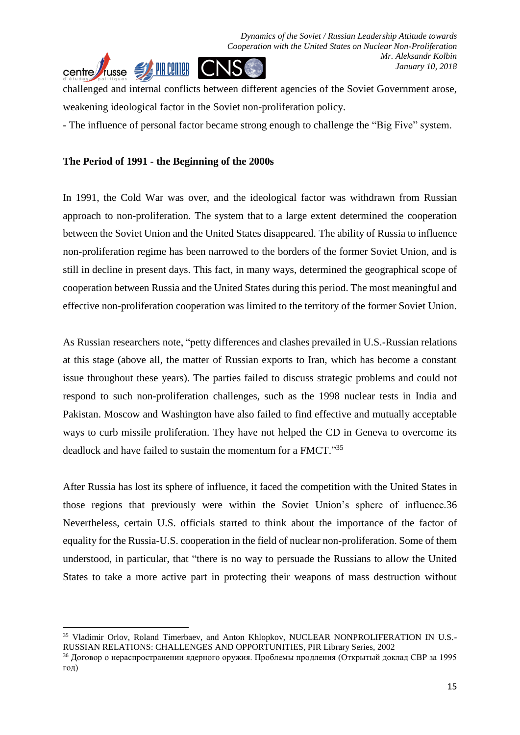*Dynamics of the Soviet / Russian Leadership Attitude towards Cooperation with the United States on Nuclear Non-Proliferation Mr. Aleksandr Kolbin January 10, 2018*



challenged and internal conflicts between different agencies of the Soviet Government arose, weakening ideological factor in the Soviet non-proliferation policy.

- The influence of personal factor became strong enough to challenge the "Big Five" system.

#### **The Period of 1991 - the Beginning of the 2000s**

**.** 

In 1991, the Cold War was over, and the ideological factor was withdrawn from Russian approach to non-proliferation. The system that to a large extent determined the cooperation between the Soviet Union and the United States disappeared. The ability of Russia to influence non-proliferation regime has been narrowed to the borders of the former Soviet Union, and is still in decline in present days. This fact, in many ways, determined the geographical scope of cooperation between Russia and the United States during this period. The most meaningful and effective non-proliferation cooperation was limited to the territory of the former Soviet Union.

As Russian researchers note, "petty differences and clashes prevailed in U.S.-Russian relations at this stage (above all, the matter of Russian exports to Iran, which has become a constant issue throughout these years). The parties failed to discuss strategic problems and could not respond to such non-proliferation challenges, such as the 1998 nuclear tests in India and Pakistan. Moscow and Washington have also failed to find effective and mutually acceptable ways to curb missile proliferation. They have not helped the CD in Geneva to overcome its deadlock and have failed to sustain the momentum for a FMCT."35

After Russia has lost its sphere of influence, it faced the competition with the United States in those regions that previously were within the Soviet Union's sphere of influence.36 Nevertheless, certain U.S. officials started to think about the importance of the factor of equality for the Russia-U.S. cooperation in the field of nuclear non-proliferation. Some of them understood, in particular, that "there is no way to persuade the Russians to allow the United States to take a more active part in protecting their weapons of mass destruction without

<sup>&</sup>lt;sup>35</sup> Vladimir Orlov, Roland Timerbaev, and Anton Khlopkov, NUCLEAR NONPROLIFERATION IN U.S.-RUSSIAN RELATIONS: CHALLENGES AND OPPORTUNITIES, PIR Library Series, 2002

<sup>&</sup>lt;sup>36</sup> Договор о нераспространении ядерного оружия. Проблемы продления (Открытый доклад СВР за 1995 год)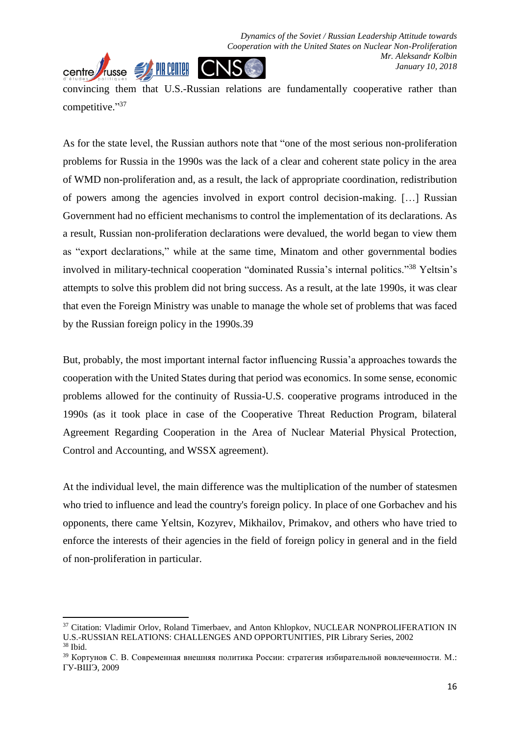

convincing them that U.S.-Russian relations are fundamentally cooperative rather than competitive."37

As for the state level, the Russian authors note that "one of the most serious non-proliferation problems for Russia in the 1990s was the lack of a clear and coherent state policy in the area of WMD non-proliferation and, as a result, the lack of appropriate coordination, redistribution of powers among the agencies involved in export control decision-making. […] Russian Government had no efficient mechanisms to control the implementation of its declarations. As a result, Russian non-proliferation declarations were devalued, the world began to view them as "export declarations," while at the same time, Minatom and other governmental bodies involved in military-technical cooperation "dominated Russia's internal politics." <sup>38</sup> Yeltsin's attempts to solve this problem did not bring success. As a result, at the late 1990s, it was clear that even the Foreign Ministry was unable to manage the whole set of problems that was faced by the Russian foreign policy in the 1990s.39

But, probably, the most important internal factor influencing Russia'a approaches towards the cooperation with the United States during that period was economics. In some sense, economic problems allowed for the continuity of Russia-U.S. cooperative programs introduced in the 1990s (as it took place in case of the Cooperative Threat Reduction Program, bilateral Agreement Regarding Cooperation in the Area of Nuclear Material Physical Protection, Control and Accounting, and WSSX agreement).

At the individual level, the main difference was the multiplication of the number of statesmen who tried to influence and lead the country's foreign policy. In place of one Gorbachev and his opponents, there came Yeltsin, Kozyrev, Mikhailov, Primakov, and others who have tried to enforce the interests of their agencies in the field of foreign policy in general and in the field of non-proliferation in particular.

<sup>&</sup>lt;sup>37</sup> Citation: Vladimir Orlov, Roland Timerbaev, and Anton Khlopkov, NUCLEAR NONPROLIFERATION IN U.S.-RUSSIAN RELATIONS: CHALLENGES AND OPPORTUNITIES, PIR Library Series, 2002

 $38$  Ibid.

<sup>39</sup> Кортунов С. В. Современная внешняя политика России: стратегия избирательной вовлеченности. М.: ГУ-ВШЭ, 2009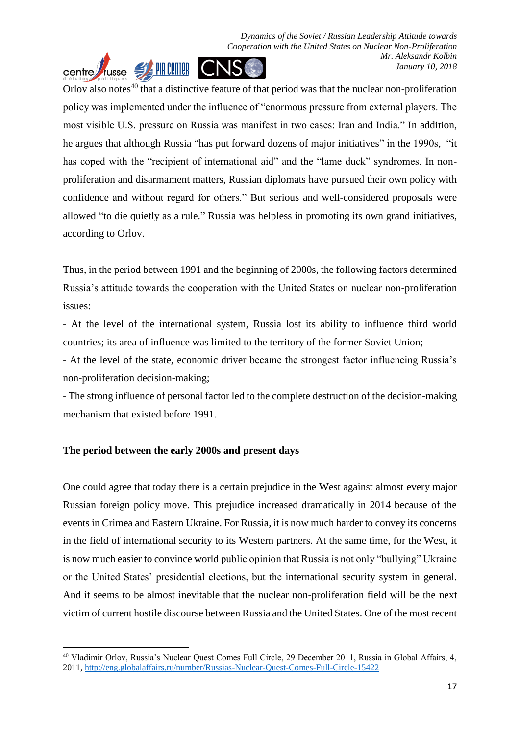

Orlov also notes<sup>40</sup> that a distinctive feature of that period was that the nuclear non-proliferation policy was implemented under the influence of "enormous pressure from external players. The most visible U.S. pressure on Russia was manifest in two cases: Iran and India." In addition, he argues that although Russia "has put forward dozens of major initiatives" in the 1990s, "it has coped with the "recipient of international aid" and the "lame duck" syndromes. In nonproliferation and disarmament matters, Russian diplomats have pursued their own policy with confidence and without regard for others." But serious and well-considered proposals were allowed "to die quietly as a rule." Russia was helpless in promoting its own grand initiatives, according to Orlov.

Thus, in the period between 1991 and the beginning of 2000s, the following factors determined Russia's attitude towards the cooperation with the United States on nuclear non-proliferation issues:

- At the level of the international system, Russia lost its ability to influence third world countries; its area of influence was limited to the territory of the former Soviet Union;

- At the level of the state, economic driver became the strongest factor influencing Russia's non-proliferation decision-making;

- The strong influence of personal factor led to the complete destruction of the decision-making mechanism that existed before 1991.

## **The period between the early 2000s and present days**

1

One could agree that today there is a certain prejudice in the West against almost every major Russian foreign policy move. This prejudice increased dramatically in 2014 because of the events in Crimea and Eastern Ukraine. For Russia, it is now much harder to convey its concerns in the field of international security to its Western partners. At the same time, for the West, it is now much easier to convince world public opinion that Russia is not only "bullying" Ukraine or the United States' presidential elections, but the international security system in general. And it seems to be almost inevitable that the nuclear non-proliferation field will be the next victim of current hostile discourse between Russia and the United States. One of the most recent

<sup>40</sup> Vladimir Orlov, Russia's Nuclear Quest Comes Full Circle, 29 December 2011, Russia in Global Affairs, 4, 2011,<http://eng.globalaffairs.ru/number/Russias-Nuclear-Quest-Comes-Full-Circle-15422>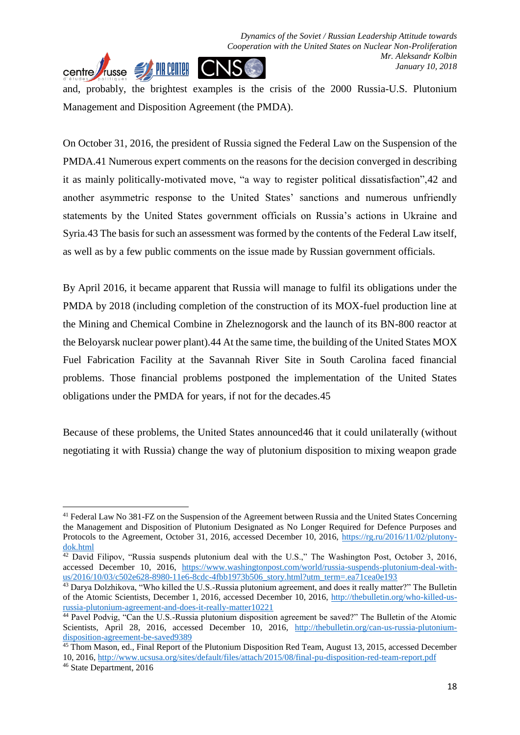

Management and Disposition Agreement (the PMDA).

On October 31, 2016, the president of Russia signed the Federal Law on the Suspension of the PMDA.41 Numerous expert comments on the reasons for the decision converged in describing it as mainly politically-motivated move, "a way to register political dissatisfaction",42 and another asymmetric response to the United States' sanctions and numerous unfriendly statements by the United States government officials on Russia's actions in Ukraine and Syria.43 The basis for such an assessment was formed by the contents of the Federal Law itself, as well as by a few public comments on the issue made by Russian government officials.

By April 2016, it became apparent that Russia will manage to fulfil its obligations under the PMDA by 2018 (including completion of the construction of its MOX-fuel production line at the Mining and Chemical Combine in Zheleznogorsk and the launch of its BN-800 reactor at the Beloyarsk nuclear power plant).44 At the same time, the building of the United States MOX Fuel Fabrication Facility at the Savannah River Site in South Carolina faced financial problems. Those financial problems postponed the implementation of the United States obligations under the PMDA for years, if not for the decades.45

Because of these problems, the United States announced46 that it could unilaterally (without negotiating it with Russia) change the way of plutonium disposition to mixing weapon grade

<sup>41</sup> Federal Law No 381-FZ on the Suspension of the Agreement between Russia and the United States Concerning the Management and Disposition of Plutonium Designated as No Longer Required for Defence Purposes and Protocols to the Agreement, October 31, 2016, accessed December 10, 2016, [https://rg.ru/2016/11/02/plutony](https://rg.ru/2016/11/02/plutony-dok.html)[dok.html](https://rg.ru/2016/11/02/plutony-dok.html)

<sup>42</sup> David Filipov, "Russia suspends plutonium deal with the U.S.," The Washington Post, October 3, 2016, accessed December 10, 2016, [https://www.washingtonpost.com/world/russia-suspends-plutonium-deal-with](https://www.washingtonpost.com/world/russia-suspends-plutonium-deal-with-us/2016/10/03/c502e628-8980-11e6-8cdc-4fbb1973b506_story.html?utm_term=.ea71cea0e193)[us/2016/10/03/c502e628-8980-11e6-8cdc-4fbb1973b506\\_story.html?utm\\_term=.ea71cea0e193](https://www.washingtonpost.com/world/russia-suspends-plutonium-deal-with-us/2016/10/03/c502e628-8980-11e6-8cdc-4fbb1973b506_story.html?utm_term=.ea71cea0e193)

<sup>&</sup>lt;sup>43</sup> Darya Dolzhikova, "Who killed the U.S.-Russia plutonium agreement, and does it really matter?" The Bulletin of the Atomic Scientists, December 1, 2016, accessed December 10, 2016, [http://thebulletin.org/who-killed-us](http://thebulletin.org/who-killed-us-russia-plutonium-agreement-and-does-it-really-matter10221)[russia-plutonium-agreement-and-does-it-really-matter10221](http://thebulletin.org/who-killed-us-russia-plutonium-agreement-and-does-it-really-matter10221)

<sup>44</sup> Pavel Podvig, "Can the U.S.-Russia plutonium disposition agreement be saved?" The Bulletin of the Atomic Scientists, April 28, 2016, accessed December 10, 2016, [http://thebulletin.org/can-us-russia-plutonium](http://thebulletin.org/can-us-russia-plutonium-disposition-agreement-be-saved9389)[disposition-agreement-be-saved9389](http://thebulletin.org/can-us-russia-plutonium-disposition-agreement-be-saved9389)

<sup>&</sup>lt;sup>45</sup> Thom Mason, ed., Final Report of the Plutonium Disposition Red Team, August 13, 2015, accessed December 10, 2016,<http://www.ucsusa.org/sites/default/files/attach/2015/08/final-pu-disposition-red-team-report.pdf> <sup>46</sup> State Department, 2016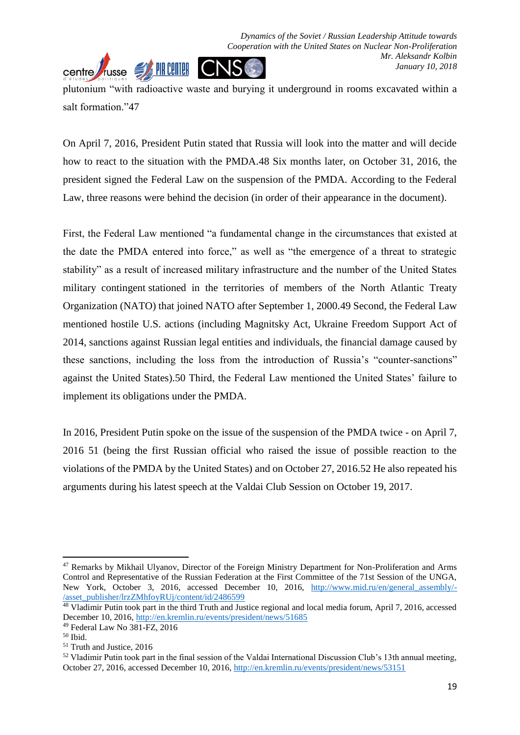

On April 7, 2016, President Putin stated that Russia will look into the matter and will decide how to react to the situation with the PMDA.48 Six months later, on October 31, 2016, the president signed the Federal Law on the suspension of the PMDA. According to the Federal Law, three reasons were behind the decision (in order of their appearance in the document).

First, the Federal Law mentioned "a fundamental change in the circumstances that existed at the date the PMDA entered into force," as well as "the emergence of a threat to strategic stability" as a result of increased military infrastructure and the number of the United States military contingent stationed in the territories of members of the North Atlantic Treaty Organization (NATO) that joined NATO after September 1, 2000.49 Second, the Federal Law mentioned hostile U.S. actions (including Magnitsky Act, Ukraine Freedom Support Act of 2014, sanctions against Russian legal entities and individuals, the financial damage caused by these sanctions, including the loss from the introduction of Russia's "counter-sanctions" against the United States).50 Third, the Federal Law mentioned the United States' failure to implement its obligations under the PMDA.

In 2016, President Putin spoke on the issue of the suspension of the PMDA twice - on April 7, 2016 51 (being the first Russian official who raised the issue of possible reaction to the violations of the PMDA by the United States) and on October 27, 2016.52 He also repeated his arguments during his latest speech at the Valdai Club Session on October 19, 2017.

<sup>47</sup> Remarks by Mikhail Ulyanov, Director of the Foreign Ministry Department for Non-Proliferation and Arms Control and Representative of the Russian Federation at the First Committee of the 71st Session of the UNGA, New York, October 3, 2016, accessed December 10, 2016, [http://www.mid.ru/en/general\\_assembly/-](http://www.mid.ru/en/general_assembly/-/asset_publisher/lrzZMhfoyRUj/content/id/2486599) [/asset\\_publisher/lrzZMhfoyRUj/content/id/2486599](http://www.mid.ru/en/general_assembly/-/asset_publisher/lrzZMhfoyRUj/content/id/2486599)

<sup>&</sup>lt;sup>48</sup> Vladimir Putin took part in the third Truth and Justice regional and local media forum, April 7, 2016, accessed December 10, 2016[, http://en.kremlin.ru/events/president/news/51685](http://en.kremlin.ru/events/president/news/51685)

<sup>49</sup> Federal Law No 381-FZ, 2016

<sup>50</sup> Ibid.

<sup>51</sup> Truth and Justice, 2016

 $52$  Vladimir Putin took part in the final session of the Valdai International Discussion Club's 13th annual meeting, October 27, 2016, accessed December 10, 2016,<http://en.kremlin.ru/events/president/news/53151>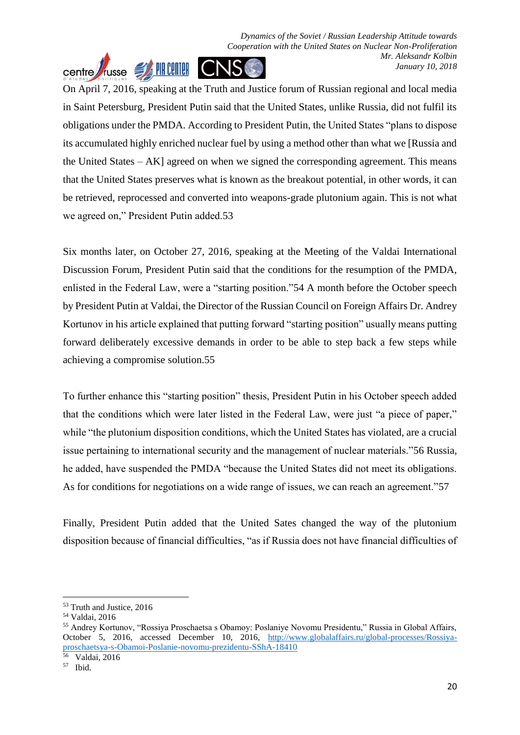*Dynamics of the Soviet / Russian Leadership Attitude towards Cooperation with the United States on Nuclear Non-Proliferation Mr. Aleksandr Kolbin* centre *Jusse* **JAHREAD CNS** *January 10, 2018*

On April 7, 2016, speaking at the Truth and Justice forum of Russian regional and local media in Saint Petersburg, President Putin said that the United States, unlike Russia, did not fulfil its obligations under the PMDA. According to President Putin, the United States "plans to dispose its accumulated highly enriched nuclear fuel by using a method other than what we [Russia and the United States – AK] agreed on when we signed the corresponding agreement. This means that the United States preserves what is known as the breakout potential, in other words, it can be retrieved, reprocessed and converted into weapons-grade plutonium again. This is not what we agreed on," President Putin added.53

Six months later, on October 27, 2016, speaking at the Meeting of the Valdai International Discussion Forum, President Putin said that the conditions for the resumption of the PMDA, enlisted in the Federal Law, were a "starting position."54 A month before the October speech by President Putin at Valdai, the Director of the Russian Council on Foreign Affairs Dr. Andrey Kortunov in his article explained that putting forward "starting position" usually means putting forward deliberately excessive demands in order to be able to step back a few steps while achieving a compromise solution.55

To further enhance this "starting position" thesis, President Putin in his October speech added that the conditions which were later listed in the Federal Law, were just "a piece of paper," while "the plutonium disposition conditions, which the United States has violated, are a crucial issue pertaining to international security and the management of nuclear materials."56 Russia, he added, have suspended the PMDA "because the United States did not meet its obligations. As for conditions for negotiations on a wide range of issues, we can reach an agreement."57

Finally, President Putin added that the United Sates changed the way of the plutonium disposition because of financial difficulties, "as if Russia does not have financial difficulties of

56 Valdai, 2016

<sup>53</sup> Truth and Justice, 2016

<sup>54</sup> Valdai, 2016

<sup>55</sup> Andrey Kortunov, "Rossiya Proschaetsa s Obamoy: Poslaniye Novomu Presidentu," Russia in Global Affairs, October 5, 2016, accessed December 10, 2016, [http://www.globalaffairs.ru/global-processes/Rossiya](http://www.globalaffairs.ru/global-processes/Rossiya-proschaetsya-s-Obamoi-Poslanie-novomu-prezidentu-SShA-18410)[proschaetsya-s-Obamoi-Poslanie-novomu-prezidentu-SShA-18410](http://www.globalaffairs.ru/global-processes/Rossiya-proschaetsya-s-Obamoi-Poslanie-novomu-prezidentu-SShA-18410)

<sup>57</sup> Ibid.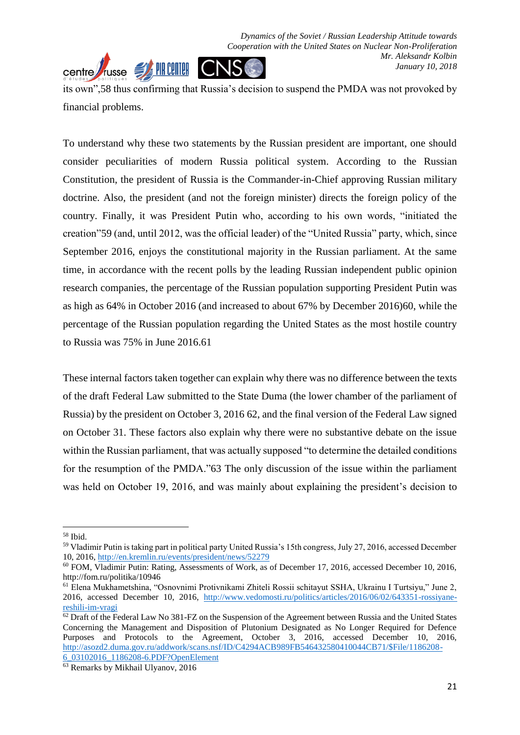

To understand why these two statements by the Russian president are important, one should consider peculiarities of modern Russia political system. According to the Russian Constitution, the president of Russia is the Commander-in-Chief approving Russian military doctrine. Also, the president (and not the foreign minister) directs the foreign policy of the country. Finally, it was President Putin who, according to his own words, "initiated the creation"59 (and, until 2012, was the official leader) of the "United Russia" party, which, since September 2016, enjoys the constitutional majority in the Russian parliament. At the same time, in accordance with the recent polls by the leading Russian independent public opinion research companies, the percentage of the Russian population supporting President Putin was as high as 64% in October 2016 (and increased to about 67% by December 2016)60, while the percentage of the Russian population regarding the United States as the most hostile country to Russia was 75% in June 2016.61

These internal factors taken together can explain why there was no difference between the texts of the draft Federal Law submitted to the State Duma (the lower chamber of the parliament of Russia) by the president on October 3, 2016 62, and the final version of the Federal Law signed on October 31. These factors also explain why there were no substantive debate on the issue within the Russian parliament, that was actually supposed "to determine the detailed conditions for the resumption of the PMDA."63 The only discussion of the issue within the parliament was held on October 19, 2016, and was mainly about explaining the president's decision to

<sup>58</sup> Ibid.

<sup>59</sup> Vladimir Putin is taking part in political party United Russia's 15th congress, July 27, 2016, accessed December 10, 2016,<http://en.kremlin.ru/events/president/news/52279>

<sup>&</sup>lt;sup>60</sup> FOM, Vladimir Putin: Rating, Assessments of Work, as of December 17, 2016, accessed December 10, 2016, http://fom.ru/politika/10946

<sup>61</sup> Elena Mukhametshina, "Osnovnimi Protivnikami Zhiteli Rossii schitayut SSHA, Ukrainu I Turtsiyu," June 2, 2016, accessed December 10, 2016, [http://www.vedomosti.ru/politics/articles/2016/06/02/643351-rossiyane](http://www.vedomosti.ru/politics/articles/2016/06/02/643351-rossiyane-reshili-im-vragi)[reshili-im-vragi](http://www.vedomosti.ru/politics/articles/2016/06/02/643351-rossiyane-reshili-im-vragi)

<sup>&</sup>lt;sup>62</sup> Draft of the Federal Law No 381-FZ on the Suspension of the Agreement between Russia and the United States Concerning the Management and Disposition of Plutonium Designated as No Longer Required for Defence Purposes and Protocols to the Agreement, October 3, 2016, accessed December 10, 2016, [http://asozd2.duma.gov.ru/addwork/scans.nsf/ID/C4294ACB989FB546432580410044CB71/\\$File/1186208-](http://asozd2.duma.gov.ru/addwork/scans.nsf/ID/C4294ACB989FB546432580410044CB71/$File/1186208-6_03102016_1186208-6.PDF?OpenElement)

[<sup>6</sup>\\_03102016\\_1186208-6.PDF?OpenElement](http://asozd2.duma.gov.ru/addwork/scans.nsf/ID/C4294ACB989FB546432580410044CB71/$File/1186208-6_03102016_1186208-6.PDF?OpenElement)

<sup>&</sup>lt;sup>63</sup> Remarks by Mikhail Ulyanov, 2016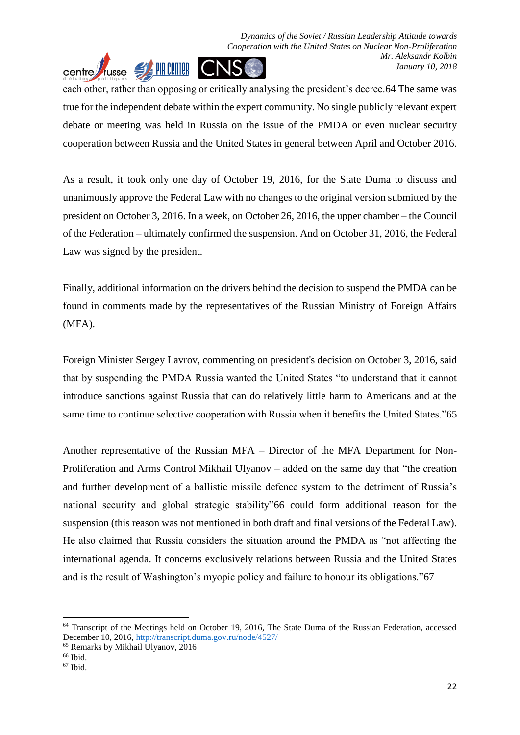

each other, rather than opposing or critically analysing the president's decree.64 The same was true for the independent debate within the expert community. No single publicly relevant expert debate or meeting was held in Russia on the issue of the PMDA or even nuclear security cooperation between Russia and the United States in general between April and October 2016.

As a result, it took only one day of October 19, 2016, for the State Duma to discuss and unanimously approve the Federal Law with no changes to the original version submitted by the president on October 3, 2016. In a week, on October 26, 2016, the upper chamber – the Council of the Federation – ultimately confirmed the suspension. And on October 31, 2016, the Federal Law was signed by the president.

Finally, additional information on the drivers behind the decision to suspend the PMDA can be found in comments made by the representatives of the Russian Ministry of Foreign Affairs (MFA).

Foreign Minister Sergey Lavrov, commenting on president's decision on October 3, 2016, said that by suspending the PMDA Russia wanted the United States "to understand that it cannot introduce sanctions against Russia that can do relatively little harm to Americans and at the same time to continue selective cooperation with Russia when it benefits the United States."65

Another representative of the Russian MFA – Director of the MFA Department for Non-Proliferation and Arms Control Mikhail Ulyanov – added on the same day that "the creation and further development of a ballistic missile defence system to the detriment of Russia's national security and global strategic stability"66 could form additional reason for the suspension (this reason was not mentioned in both draft and final versions of the Federal Law). He also claimed that Russia considers the situation around the PMDA as "not affecting the international agenda. It concerns exclusively relations between Russia and the United States and is the result of Washington's myopic policy and failure to honour its obligations."67

<sup>&</sup>lt;sup>64</sup> Transcript of the Meetings held on October 19, 2016, The State Duma of the Russian Federation, accessed December 10, 2016[, http://transcript.duma.gov.ru/node/4527/](http://transcript.duma.gov.ru/node/4527/)

<sup>65</sup> Remarks by Mikhail Ulyanov, 2016

 $66$  Ibid.

<sup>67</sup> Ibid.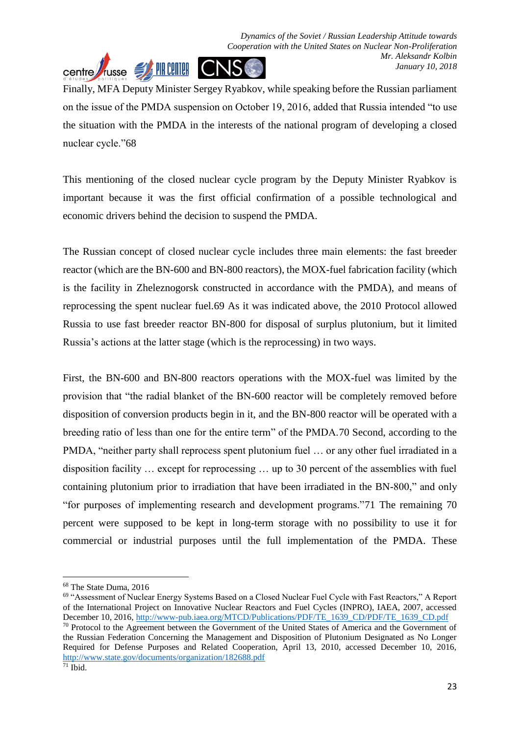

Finally, MFA Deputy Minister Sergey Ryabkov, while speaking before the Russian parliament on the issue of the PMDA suspension on October 19, 2016, added that Russia intended "to use the situation with the PMDA in the interests of the national program of developing a closed nuclear cycle."68

This mentioning of the closed nuclear cycle program by the Deputy Minister Ryabkov is important because it was the first official confirmation of a possible technological and economic drivers behind the decision to suspend the PMDA.

The Russian concept of closed nuclear cycle includes three main elements: the fast breeder reactor (which are the BN-600 and BN-800 reactors), the MOX-fuel fabrication facility (which is the facility in Zheleznogorsk constructed in accordance with the PMDA), and means of reprocessing the spent nuclear fuel.69 As it was indicated above, the 2010 Protocol allowed Russia to use fast breeder reactor BN-800 for disposal of surplus plutonium, but it limited Russia's actions at the latter stage (which is the reprocessing) in two ways.

First, the BN-600 and BN-800 reactors operations with the MOX-fuel was limited by the provision that "the radial blanket of the BN-600 reactor will be completely removed before disposition of conversion products begin in it, and the BN-800 reactor will be operated with a breeding ratio of less than one for the entire term" of the PMDA.70 Second, according to the PMDA, "neither party shall reprocess spent plutonium fuel … or any other fuel irradiated in a disposition facility … except for reprocessing … up to 30 percent of the assemblies with fuel containing plutonium prior to irradiation that have been irradiated in the BN-800," and only "for purposes of implementing research and development programs."71 The remaining 70 percent were supposed to be kept in long-term storage with no possibility to use it for commercial or industrial purposes until the full implementation of the PMDA. These

 $\overline{a}$ 

<sup>68</sup> The State Duma, 2016

<sup>69</sup> "Assessment of Nuclear Energy Systems Based on a Closed Nuclear Fuel Cycle with Fast Reactors," A Report of the International Project on Innovative Nuclear Reactors and Fuel Cycles (INPRO), IAEA, 2007, accessed December 10, 2016[, http://www-pub.iaea.org/MTCD/Publications/PDF/TE\\_1639\\_CD/PDF/TE\\_1639\\_CD.pdf](http://www-pub.iaea.org/MTCD/Publications/PDF/TE_1639_CD/PDF/TE_1639_CD.pdf)

<sup>70</sup> Protocol to the Agreement between the Government of the United States of America and the Government of the Russian Federation Concerning the Management and Disposition of Plutonium Designated as No Longer Required for Defense Purposes and Related Cooperation, April 13, 2010, accessed December 10, 2016, <http://www.state.gov/documents/organization/182688.pdf>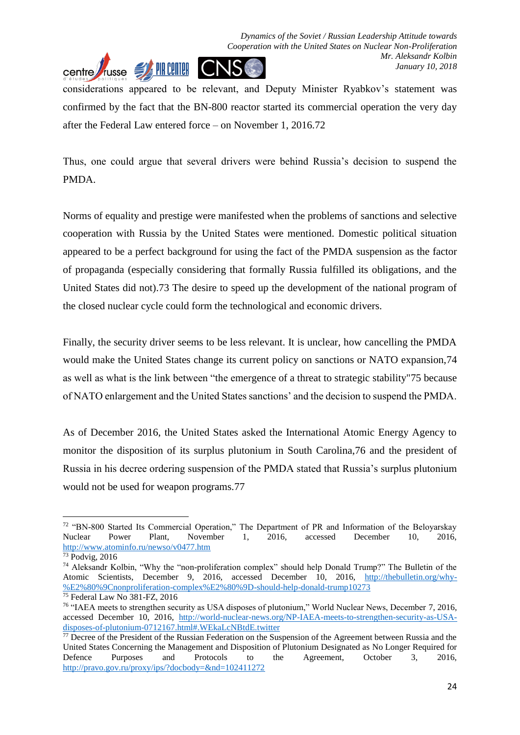

considerations appeared to be relevant, and Deputy Minister Ryabkov's statement was confirmed by the fact that the BN-800 reactor started its commercial operation the very day after the Federal Law entered force – on November 1, 2016.72

Thus, one could argue that several drivers were behind Russia's decision to suspend the PMDA.

Norms of equality and prestige were manifested when the problems of sanctions and selective cooperation with Russia by the United States were mentioned. Domestic political situation appeared to be a perfect background for using the fact of the PMDA suspension as the factor of propaganda (especially considering that formally Russia fulfilled its obligations, and the United States did not).73 The desire to speed up the development of the national program of the closed nuclear cycle could form the technological and economic drivers.

Finally, the security driver seems to be less relevant. It is unclear, how cancelling the PMDA would make the United States change its current policy on sanctions or NATO expansion,74 as well as what is the link between "the emergence of a threat to strategic stability"75 because of NATO enlargement and the United States sanctions' and the decision to suspend the PMDA.

As of December 2016, the United States asked the International Atomic Energy Agency to monitor the disposition of its surplus plutonium in South Carolina,76 and the president of Russia in his decree ordering suspension of the PMDA stated that Russia's surplus plutonium would not be used for weapon programs.77

<sup>72</sup> "BN-800 Started Its Commercial Operation," The Department of PR and Information of the Beloyarskay Nuclear Power Plant, November 1, 2016, accessed December 10, 2016, <http://www.atominfo.ru/newso/v0477.htm>

<sup>73</sup> Podvig, 2016

<sup>74</sup> Aleksandr Kolbin, "Why the "non-proliferation complex" should help Donald Trump?" The Bulletin of the Atomic Scientists, December 9, 2016, accessed December 10, 2016, [http://thebulletin.org/why-](http://thebulletin.org/why-%E2%80%9Cnonproliferation-complex%E2%80%9D-should-help-donald-trump10273) [%E2%80%9Cnonproliferation-complex%E2%80%9D-should-help-donald-trump10273](http://thebulletin.org/why-%E2%80%9Cnonproliferation-complex%E2%80%9D-should-help-donald-trump10273)

<sup>75</sup> Federal Law No 381-FZ, 2016

<sup>76</sup> "IAEA meets to strengthen security as USA disposes of plutonium," World Nuclear News, December 7, 2016, accessed December 10, 2016, [http://world-nuclear-news.org/NP-IAEA-meets-to-strengthen-security-as-USA](http://world-nuclear-news.org/NP-IAEA-meets-to-strengthen-security-as-USA-disposes-of-plutonium-0712167.html#.WEkaLcNBtdE.twitter)[disposes-of-plutonium-0712167.html#.WEkaLcNBtdE.twitter](http://world-nuclear-news.org/NP-IAEA-meets-to-strengthen-security-as-USA-disposes-of-plutonium-0712167.html#.WEkaLcNBtdE.twitter)

<sup>&</sup>lt;sup>77</sup> Decree of the President of the Russian Federation on the Suspension of the Agreement between Russia and the United States Concerning the Management and Disposition of Plutonium Designated as No Longer Required for Defence Purposes and Protocols to the Agreement, October 3, 2016, <http://pravo.gov.ru/proxy/ips/?docbody=&nd=102411272>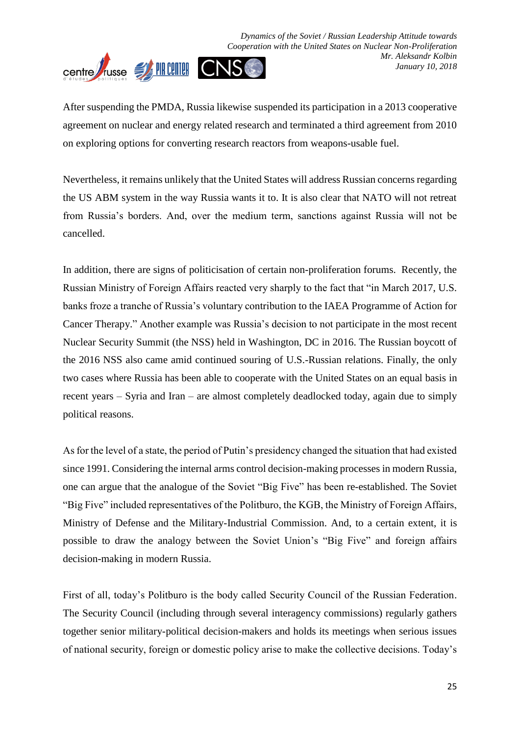

After suspending the PMDA, Russia likewise suspended its participation in a 2013 cooperative agreement on nuclear and energy related research and terminated a third agreement from 2010 on exploring options for converting research reactors from weapons-usable fuel.

Nevertheless, it remains unlikely that the United States will address Russian concerns regarding the US ABM system in the way Russia wants it to. It is also clear that NATO will not retreat from Russia's borders. And, over the medium term, sanctions against Russia will not be cancelled.

In addition, there are signs of politicisation of certain non-proliferation forums. Recently, the Russian Ministry of Foreign Affairs reacted very sharply to the fact that "in March 2017, U.S. banks froze a tranche of Russia's voluntary contribution to the IAEA Programme of Action for Cancer Therapy." Another example was Russia's decision to not participate in the most recent Nuclear Security Summit (the NSS) held in Washington, DC in 2016. The Russian boycott of the 2016 NSS also came amid continued souring of U.S.-Russian relations. Finally, the only two cases where Russia has been able to cooperate with the United States on an equal basis in recent years – Syria and Iran – are almost completely deadlocked today, again due to simply political reasons.

As for the level of a state, the period of Putin's presidency changed the situation that had existed since 1991. Considering the internal arms control decision-making processes in modern Russia, one can argue that the analogue of the Soviet "Big Five" has been re-established. The Soviet "Big Five" included representatives of the Politburo, the KGB, the Ministry of Foreign Affairs, Ministry of Defense and the Military-Industrial Commission. And, to a certain extent, it is possible to draw the analogy between the Soviet Union's "Big Five" and foreign affairs decision-making in modern Russia.

First of all, today's Politburo is the body called Security Council of the Russian Federation. The Security Council (including through several interagency commissions) regularly gathers together senior military-political decision-makers and holds its meetings when serious issues of national security, foreign or domestic policy arise to make the collective decisions. Today's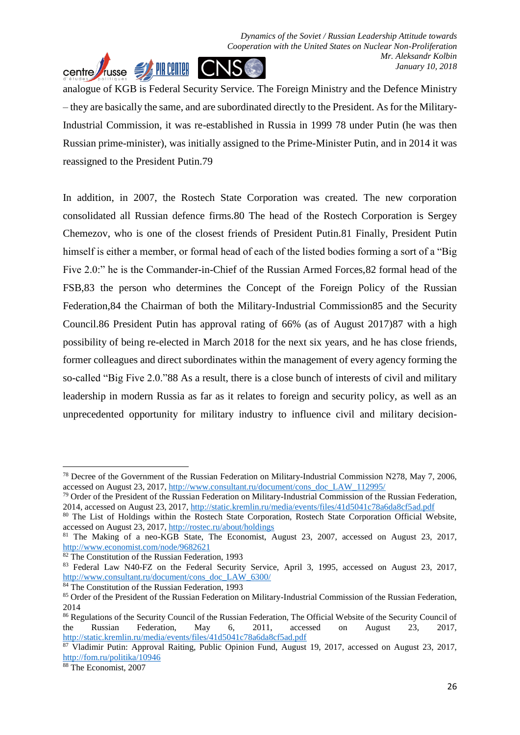analogue of KGB is Federal Security Service. The Foreign Ministry and the Defence Ministry – they are basically the same, and are subordinated directly to the President. As for the Military-Industrial Commission, it was re-established in Russia in 1999 78 under Putin (he was then Russian prime-minister), was initially assigned to the Prime-Minister Putin, and in 2014 it was reassigned to the President Putin.79

In addition, in 2007, the Rostech State Corporation was created. The new corporation consolidated all Russian defence firms.80 The head of the Rostech Corporation is Sergey Chemezov, who is one of the closest friends of President Putin.81 Finally, President Putin himself is either a member, or formal head of each of the listed bodies forming a sort of a "Big Five 2.0:" he is the Commander-in-Chief of the Russian Armed Forces,82 formal head of the FSB,83 the person who determines the Concept of the Foreign Policy of the Russian Federation,84 the Chairman of both the Military-Industrial Commission85 and the Security Council.86 President Putin has approval rating of 66% (as of August 2017)87 with a high possibility of being re-elected in March 2018 for the next six years, and he has close friends, former colleagues and direct subordinates within the management of every agency forming the so-called "Big Five 2.0."88 As a result, there is a close bunch of interests of civil and military leadership in modern Russia as far as it relates to foreign and security policy, as well as an unprecedented opportunity for military industry to influence civil and military decision-

<sup>78</sup> Decree of the Government of the Russian Federation on Military-Industrial Commission N278, May 7, 2006, accessed on August 23, 2017, [http://www.consultant.ru/document/cons\\_doc\\_LAW\\_112995/](http://www.consultant.ru/document/cons_doc_LAW_112995/)

<sup>&</sup>lt;sup>79</sup> Order of the President of the Russian Federation on Military-Industrial Commission of the Russian Federation, 2014, accessed on August 23, 2017,<http://static.kremlin.ru/media/events/files/41d5041c78a6da8cf5ad.pdf>

<sup>80</sup> The List of Holdings within the Rostech State Corporation, Rostech State Corporation Official Website, accessed on August 23, 2017,<http://rostec.ru/about/holdings>

<sup>81</sup> The Making of a neo-KGB State, The Economist, August 23, 2007, accessed on August 23, 2017, <http://www.economist.com/node/9682621>

<sup>82</sup> The Constitution of the Russian Federation, 1993

<sup>83</sup> Federal Law N40-FZ on the Federal Security Service, April 3, 1995, accessed on August 23, 2017, [http://www.consultant.ru/document/cons\\_doc\\_LAW\\_6300/](http://www.consultant.ru/document/cons_doc_LAW_6300/)

<sup>&</sup>lt;sup>84</sup> The Constitution of the Russian Federation, 1993

<sup>&</sup>lt;sup>85</sup> Order of the President of the Russian Federation on Military-Industrial Commission of the Russian Federation, 2014

<sup>86</sup> Regulations of the Security Council of the Russian Federation, The Official Website of the Security Council of the Russian Federation, May 6, 2011, accessed on August 23, 2017, <http://static.kremlin.ru/media/events/files/41d5041c78a6da8cf5ad.pdf>

<sup>87</sup> Vladimir Putin: Approval Raiting, Public Opinion Fund, August 19, 2017, accessed on August 23, 2017, <http://fom.ru/politika/10946>

<sup>88</sup> The Economist, 2007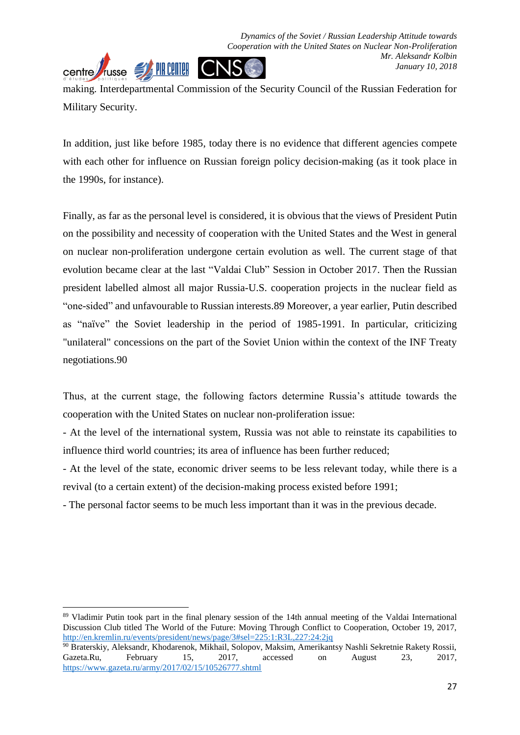making. Interdepartmental Commission of the Security Council of the Russian Federation for Military Security.

In addition, just like before 1985, today there is no evidence that different agencies compete with each other for influence on Russian foreign policy decision-making (as it took place in the 1990s, for instance).

Finally, as far as the personal level is considered, it is obvious that the views of President Putin on the possibility and necessity of cooperation with the United States and the West in general on nuclear non-proliferation undergone certain evolution as well. The current stage of that evolution became clear at the last "Valdai Club" Session in October 2017. Then the Russian president labelled almost all major Russia-U.S. cooperation projects in the nuclear field as "one-sided" and unfavourable to Russian interests.89 Moreover, a year earlier, Putin described as "naïve" the Soviet leadership in the period of 1985-1991. In particular, criticizing "unilateral" concessions on the part of the Soviet Union within the context of the INF Treaty negotiations.90

Thus, at the current stage, the following factors determine Russia's attitude towards the cooperation with the United States on nuclear non-proliferation issue:

- At the level of the international system, Russia was not able to reinstate its capabilities to influence third world countries; its area of influence has been further reduced;

- At the level of the state, economic driver seems to be less relevant today, while there is a revival (to a certain extent) of the decision-making process existed before 1991;

- The personal factor seems to be much less important than it was in the previous decade.

89 Vladimir Putin took part in the final plenary session of the 14th annual meeting of the Valdai International Discussion Club titled The World of the Future: Moving Through Conflict to Cooperation, October 19, 2017, <http://en.kremlin.ru/events/president/news/page/3#sel=225:1:R3L,227:24:2jq>

<sup>&</sup>lt;sup>90</sup> Braterskiy, Aleksandr, Khodarenok, Mikhail, Solopov, Maksim, Amerikantsy Nashli Sekretnie Rakety Rossii, Gazeta.Ru, February 15, 2017, accessed on August 23. 2017. Gazeta.Ru, February 15, 2017, accessed on August 23, 2017, <https://www.gazeta.ru/army/2017/02/15/10526777.shtml>